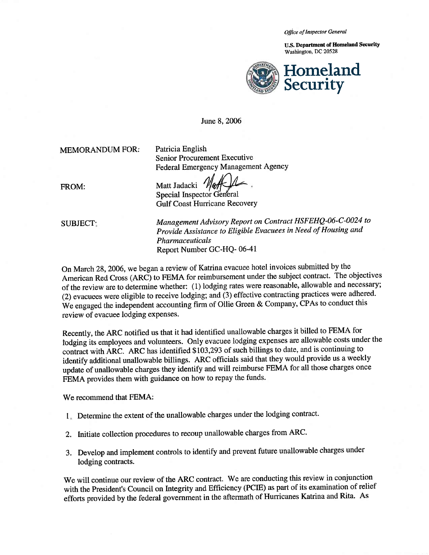*Office of Inspector General* 

u.s. Department of Homeland Security Washington, DC 20528



June 8,2006

MEMORANDUM FOR:

Patricia English Senior Procurement Executive Federal Emergency Management Agency

FROM:

Matt Jadacki  $1/2/1$ <br>Special Inspector General Gulf Coast Hurricane Recovery

SUBJECT·

*Management Advisory Report on Contract HSFEHQ-06-C-0024 to Provide Assistance to Eligible Evacuees in Need of Housing and Pharmaceuticals*  Report Number GC-HQ- 06-41

On March 28, 2006, we began a review of Katrina evacuee hotel invoices submitted by the American Red Cross (ARC) to FEMA for reimbursement under the subject contract. The objectives of the review are to determine whether: (1) lodging rates were reasonable, allowable and necessary; (2) evacuees were eligible to receive lodging; and (3) effective contracting practices were adhered. We engaged the independent accounting firm of Ollie Green & Company, CPAs to conduct this review of evacuee lodging expenses.

Recently, the ARC notified us that it had identified unallowable charges it billed to FEMA for lodging its employees and volunteers. Only evacuee lodging expenses are allowable costs under the contract with ARC. ARC has identified \$103,293 of such billings to date, and is continuing to identify additional unallowable billings. ARC officials said that they would provide us a weekly update of unallowable charges they identify and will reimburse FEMA for all those charges once FEMA provides them with guidance on how to repay the funds.

We recommend that FEMA:

- Determine the extent of the unallowable charges under the lodging contract.
- 2. Initiate collection procedures to recoup unallowable charges from ARC.
- 3. Develop and implement controls to identify and prevent future unallowable charges under lodging contracts.

We will continue our review of the ARC contract. We are conducting this review in conjunction with the President's Council on Integrity and Efficiency (PCIE) as part of its examination of relief efforts provided by the federal government in the aftermath of Hurricanes Katrina and Rita. As